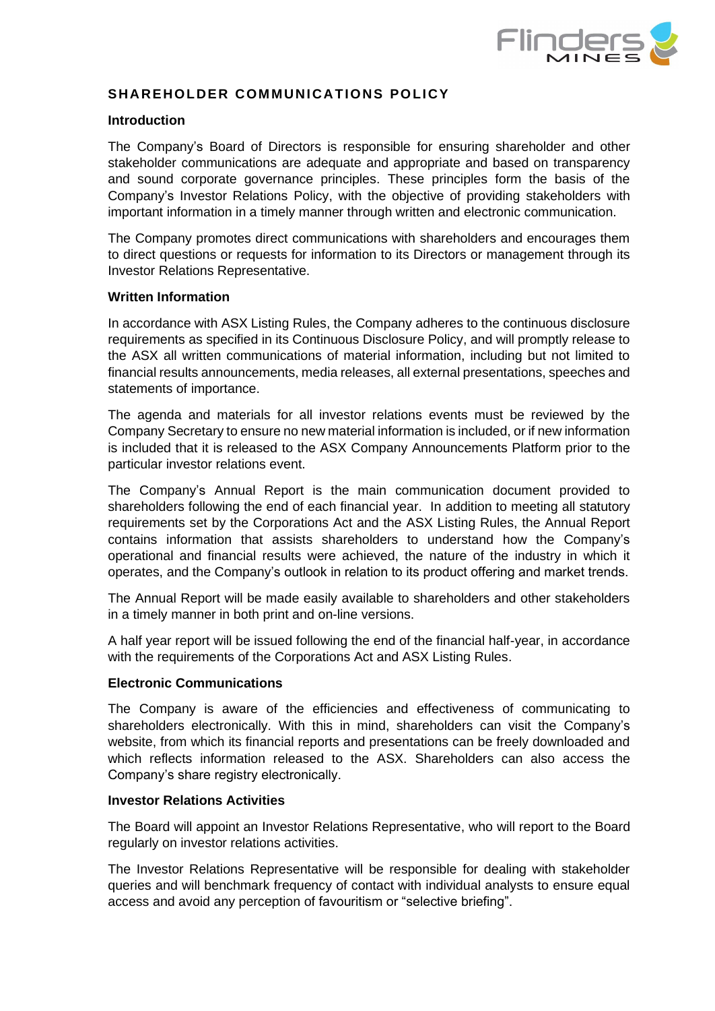

# **SHAREHOLDER COMMUNICATIONS POLICY**

## **Introduction**

The Company's Board of Directors is responsible for ensuring shareholder and other stakeholder communications are adequate and appropriate and based on transparency and sound corporate governance principles. These principles form the basis of the Company's Investor Relations Policy, with the objective of providing stakeholders with important information in a timely manner through written and electronic communication.

The Company promotes direct communications with shareholders and encourages them to direct questions or requests for information to its Directors or management through its Investor Relations Representative.

## **Written Information**

In accordance with ASX Listing Rules, the Company adheres to the continuous disclosure requirements as specified in its Continuous Disclosure Policy, and will promptly release to the ASX all written communications of material information, including but not limited to financial results announcements, media releases, all external presentations, speeches and statements of importance.

The agenda and materials for all investor relations events must be reviewed by the Company Secretary to ensure no new material information is included, or if new information is included that it is released to the ASX Company Announcements Platform prior to the particular investor relations event.

The Company's Annual Report is the main communication document provided to shareholders following the end of each financial year. In addition to meeting all statutory requirements set by the Corporations Act and the ASX Listing Rules, the Annual Report contains information that assists shareholders to understand how the Company's operational and financial results were achieved, the nature of the industry in which it operates, and the Company's outlook in relation to its product offering and market trends.

The Annual Report will be made easily available to shareholders and other stakeholders in a timely manner in both print and on-line versions.

A half year report will be issued following the end of the financial half-year, in accordance with the requirements of the Corporations Act and ASX Listing Rules.

## **Electronic Communications**

The Company is aware of the efficiencies and effectiveness of communicating to shareholders electronically. With this in mind, shareholders can visit the Company's website, from which its financial reports and presentations can be freely downloaded and which reflects information released to the ASX. Shareholders can also access the Company's share registry electronically.

## **Investor Relations Activities**

The Board will appoint an Investor Relations Representative, who will report to the Board regularly on investor relations activities.

The Investor Relations Representative will be responsible for dealing with stakeholder queries and will benchmark frequency of contact with individual analysts to ensure equal access and avoid any perception of favouritism or "selective briefing".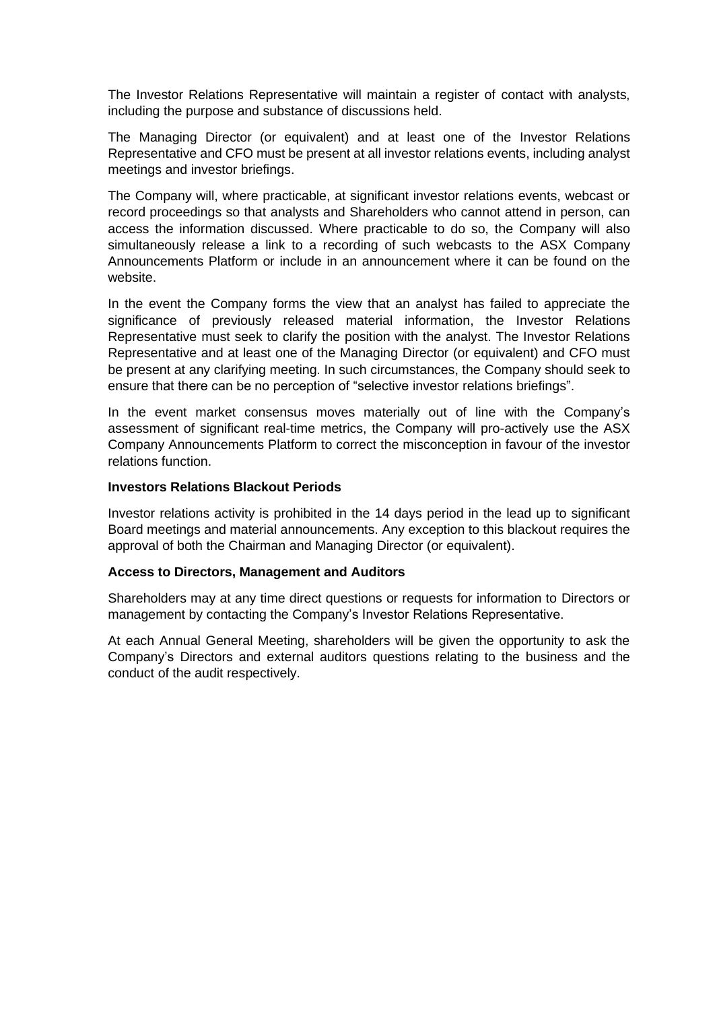The Investor Relations Representative will maintain a register of contact with analysts, including the purpose and substance of discussions held.

The Managing Director (or equivalent) and at least one of the Investor Relations Representative and CFO must be present at all investor relations events, including analyst meetings and investor briefings.

The Company will, where practicable, at significant investor relations events, webcast or record proceedings so that analysts and Shareholders who cannot attend in person, can access the information discussed. Where practicable to do so, the Company will also simultaneously release a link to a recording of such webcasts to the ASX Company Announcements Platform or include in an announcement where it can be found on the website.

In the event the Company forms the view that an analyst has failed to appreciate the significance of previously released material information, the Investor Relations Representative must seek to clarify the position with the analyst. The Investor Relations Representative and at least one of the Managing Director (or equivalent) and CFO must be present at any clarifying meeting. In such circumstances, the Company should seek to ensure that there can be no perception of "selective investor relations briefings".

In the event market consensus moves materially out of line with the Company's assessment of significant real-time metrics, the Company will pro-actively use the ASX Company Announcements Platform to correct the misconception in favour of the investor relations function.

## **Investors Relations Blackout Periods**

Investor relations activity is prohibited in the 14 days period in the lead up to significant Board meetings and material announcements. Any exception to this blackout requires the approval of both the Chairman and Managing Director (or equivalent).

## **Access to Directors, Management and Auditors**

Shareholders may at any time direct questions or requests for information to Directors or management by contacting the Company's Investor Relations Representative.

At each Annual General Meeting, shareholders will be given the opportunity to ask the Company's Directors and external auditors questions relating to the business and the conduct of the audit respectively.